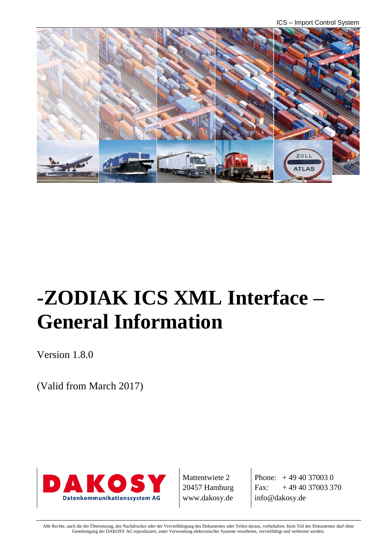ICS – Import Control System



# **-ZODIAK ICS XML Interface – General Information**

Version 1.8.0

(Valid from March 2017)



Mattentwiete 2 20457 Hamburg www.dakosy.de

Phone:  $+4940370030$ Fax:  $+494037003370$ info@dakosy.de

Alle Rechte, auch die der Übersetzung, des Nachdruckes oder der Vervielfältigung des Dokumentes oder Teilen daraus, vorbehalten. Kein Teil des Dokumentes darf ohne Genehmigung der DAKOSY AG reproduziert, unter Verwendung elektronischer Systeme verarbeitet, vervielfältigt und verbreitet werden.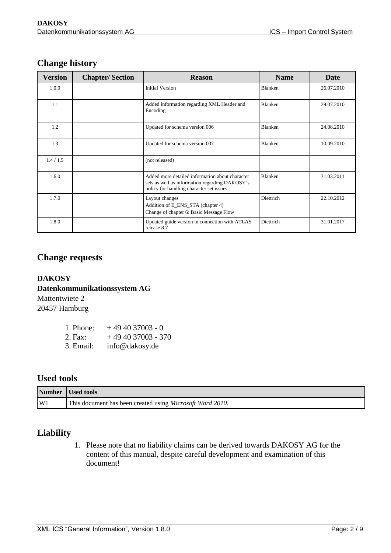| Version   | <b>Chapter/Section</b> | <b>Reason</b>                                                                                                                                  | <b>Name</b>    | Date       |
|-----------|------------------------|------------------------------------------------------------------------------------------------------------------------------------------------|----------------|------------|
| 1.0.0     |                        | <b>Initial Version</b>                                                                                                                         | Blanken        | 26.07.2010 |
| 1.1       |                        | Added information regarding XML Header and<br>Encoding                                                                                         | Blanken        | 29.07.2010 |
| 1.2       |                        | Updated for schema version 006                                                                                                                 | <b>Blanken</b> | 24.08.2010 |
| 1.3       |                        | Updated for schema version 007                                                                                                                 | Blanken        | 10.09.2010 |
| 1.4 / 1.5 |                        | (not released)                                                                                                                                 |                |            |
| 1.6.0     |                        | Added more detailed information about character<br>sets as well as information regarding DAKOSY's<br>policy for handling character set issues. | <b>Blanken</b> | 31.03.2011 |
| 1.7.0     |                        | Layout changes<br>Addition of E_ENS_STA (chapter 4)<br>Change of chapter 6: Basic Message Flow                                                 | Diettrich      | 22.10.2012 |
| 1.8.0     |                        | Updated guide version in connection with ATLAS<br>release 8.7                                                                                  | Diettrich      | 31.01.2017 |

#### **Change history**

#### **Change requests**

#### **DAKOSY Datenkommunikationssystem AG**  Mattentwiete 2

20457 Hamburg

| 1. Phone: | $+494037003 - 0$   |
|-----------|--------------------|
| 2. Fax:   | $+494037003 - 370$ |
| 3. Email: | info@dakosy.de     |

#### **Used tools**

|                  | Number Used tools                                                 |
|------------------|-------------------------------------------------------------------|
| $\vert W1 \vert$ | This document has been created using <i>Microsoft Word 2010</i> . |

#### **Liability**

1. Please note that no liability claims can be derived towards DAKOSY AG for the content of this manual, despite careful development and examination of this document!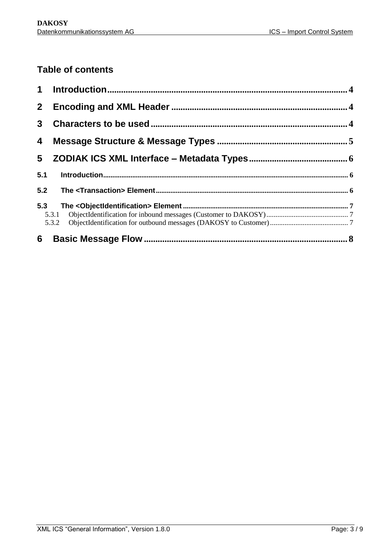## **Table of contents**

| 2 <sup>1</sup> |  |
|----------------|--|
| 3              |  |
| 4              |  |
| 5              |  |
| 5.1            |  |
|                |  |
| 5.3            |  |
|                |  |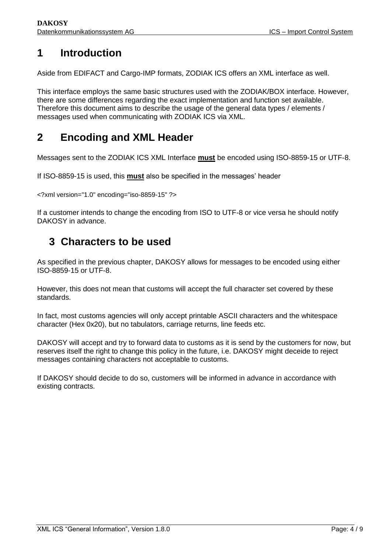# <span id="page-3-0"></span>**1 Introduction**

Aside from EDIFACT and Cargo-IMP formats, ZODIAK ICS offers an XML interface as well.

This interface employs the same basic structures used with the ZODIAK/BOX interface. However, there are some differences regarding the exact implementation and function set available. Therefore this document aims to describe the usage of the general data types / elements / messages used when communicating with ZODIAK ICS via XML.

# <span id="page-3-1"></span>**2 Encoding and XML Header**

Messages sent to the ZODIAK ICS XML Interface **must** be encoded using ISO-8859-15 or UTF-8.

If ISO-8859-15 is used, this **must** also be specified in the messages' header

<?xml version="1.0" encoding="iso-8859-15" ?>

If a customer intends to change the encoding from ISO to UTF-8 or vice versa he should notify DAKOSY in advance.

## <span id="page-3-2"></span>**3 Characters to be used**

As specified in the previous chapter, DAKOSY allows for messages to be encoded using either ISO-8859-15 or UTF-8.

However, this does not mean that customs will accept the full character set covered by these standards.

In fact, most customs agencies will only accept printable ASCII characters and the whitespace character (Hex 0x20), but no tabulators, carriage returns, line feeds etc.

DAKOSY will accept and try to forward data to customs as it is send by the customers for now, but reserves itself the right to change this policy in the future, i.e. DAKOSY might deceide to reject messages containing characters not acceptable to customs.

If DAKOSY should decide to do so, customers will be informed in advance in accordance with existing contracts.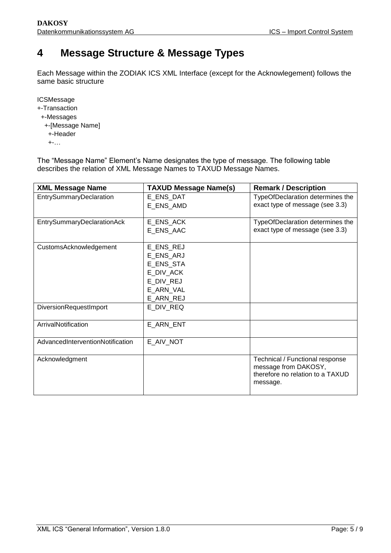## <span id="page-4-0"></span>**4 Message Structure & Message Types**

Each Message within the ZODIAK ICS XML Interface (except for the Acknowlegement) follows the same basic structure

**ICSMessage** 

- +-Transaction
- +-Messages
	- +-[Message Name]
	- +-Header
	- $+$ -…

The "Message Name" Element's Name designates the type of message. The following table describes the relation of XML Message Names to TAXUD Message Names.

| <b>XML Message Name</b>           | <b>TAXUD Message Name(s)</b> | <b>Remark / Description</b>      |
|-----------------------------------|------------------------------|----------------------------------|
| EntrySummaryDeclaration           | E_ENS_DAT                    | TypeOfDeclaration determines the |
|                                   | E_ENS_AMD                    | exact type of message (see 3.3)  |
|                                   |                              |                                  |
| <b>EntrySummaryDeclarationAck</b> | E_ENS_ACK                    | TypeOfDeclaration determines the |
|                                   | E_ENS_AAC                    | exact type of message (see 3.3)  |
|                                   |                              |                                  |
| CustomsAcknowledgement            | E_ENS_REJ                    |                                  |
|                                   | E_ENS_ARJ                    |                                  |
|                                   | E_ENS_STA                    |                                  |
|                                   | E DIV ACK                    |                                  |
|                                   | E_DIV_REJ                    |                                  |
|                                   | E ARN VAL                    |                                  |
|                                   | E ARN REJ                    |                                  |
| DiversionRequestImport            | E_DIV_REQ                    |                                  |
|                                   |                              |                                  |
| ArrivalNotification               | E ARN ENT                    |                                  |
|                                   |                              |                                  |
| AdvancedInterventionNotification  | E AIV NOT                    |                                  |
|                                   |                              |                                  |
| Acknowledgment                    |                              | Technical / Functional response  |
|                                   |                              | message from DAKOSY,             |
|                                   |                              | therefore no relation to a TAXUD |
|                                   |                              | message.                         |
|                                   |                              |                                  |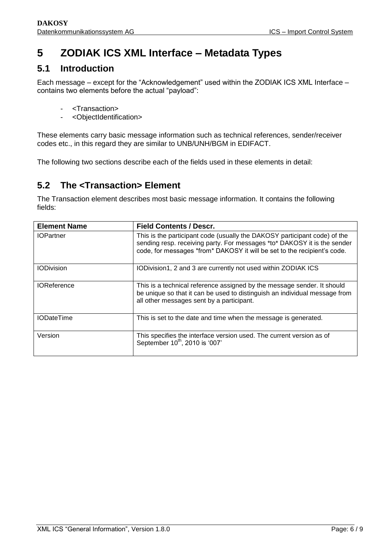# <span id="page-5-0"></span>**5 ZODIAK ICS XML Interface – Metadata Types**

## <span id="page-5-1"></span>**5.1 Introduction**

Each message – except for the "Acknowledgement" used within the ZODIAK ICS XML Interface – contains two elements before the actual "payload":

- <Transaction>
- <ObjectIdentification>

These elements carry basic message information such as technical references, sender/receiver codes etc., in this regard they are similar to UNB/UNH/BGM in EDIFACT.

The following two sections describe each of the fields used in these elements in detail:

## <span id="page-5-2"></span>**5.2 The <Transaction> Element**

The Transaction element describes most basic message information. It contains the following fields:

| <b>Element Name</b> | <b>Field Contents / Descr.</b>                                                                                                                                                                                                    |
|---------------------|-----------------------------------------------------------------------------------------------------------------------------------------------------------------------------------------------------------------------------------|
| <b>IOPartner</b>    | This is the participant code (usually the DAKOSY participant code) of the<br>sending resp. receiving party. For messages *to* DAKOSY it is the sender<br>code, for messages *from* DAKOSY it will be set to the recipient's code. |
| <b>IODivision</b>   | IODivision1, 2 and 3 are currently not used within ZODIAK ICS                                                                                                                                                                     |
| <b>IOReference</b>  | This is a technical reference assigned by the message sender. It should<br>be unique so that it can be used to distinguish an individual message from<br>all other messages sent by a participant.                                |
| <b>IODateTime</b>   | This is set to the date and time when the message is generated.                                                                                                                                                                   |
| Version             | This specifies the interface version used. The current version as of<br>September 10 <sup>th</sup> , 2010 is '007'                                                                                                                |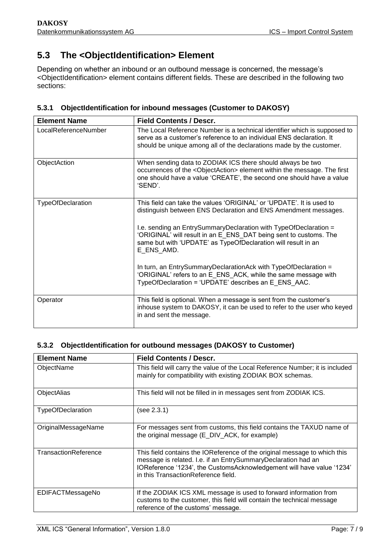## <span id="page-6-0"></span>**5.3 The <ObjectIdentification> Element**

Depending on whether an inbound or an outbound message is concerned, the message's <ObjectIdentification> element contains different fields. These are described in the following two sections:

<span id="page-6-1"></span>

| 5.3.1 ObjectIdentification for inbound messages (Customer to DAKOSY) |  |
|----------------------------------------------------------------------|--|
|                                                                      |  |

| <b>Element Name</b>  | <b>Field Contents / Descr.</b>                                                                                                                                                                                                                                                                                                                                                                                                                                                                                                                               |
|----------------------|--------------------------------------------------------------------------------------------------------------------------------------------------------------------------------------------------------------------------------------------------------------------------------------------------------------------------------------------------------------------------------------------------------------------------------------------------------------------------------------------------------------------------------------------------------------|
| LocalReferenceNumber | The Local Reference Number is a technical identifier which is supposed to<br>serve as a customer's reference to an individual ENS declaration. It<br>should be unique among all of the declarations made by the customer.                                                                                                                                                                                                                                                                                                                                    |
| ObjectAction         | When sending data to ZODIAK ICS there should always be two<br>occurrences of the <objectaction> element within the message. The first<br/>one should have a value 'CREATE', the second one should have a value<br/>'SEND'.</objectaction>                                                                                                                                                                                                                                                                                                                    |
| TypeOfDeclaration    | This field can take the values 'ORIGINAL' or 'UPDATE'. It is used to<br>distinguish between ENS Declaration and ENS Amendment messages.<br>I.e. sending an EntrySummaryDeclaration with TypeOfDeclaration =<br>'ORIGINAL' will result in an E_ENS_DAT being sent to customs. The<br>same but with 'UPDATE' as TypeOfDeclaration will result in an<br>E_ENS_AMD.<br>In turn, an EntrySummaryDeclarationAck with TypeOfDeclaration =<br>'ORIGINAL' refers to an E_ENS_ACK, while the same message with<br>TypeOfDeclaration = 'UPDATE' describes an E ENS AAC. |
| Operator             | This field is optional. When a message is sent from the customer's<br>inhouse system to DAKOSY, it can be used to refer to the user who keyed<br>in and sent the message.                                                                                                                                                                                                                                                                                                                                                                                    |

#### <span id="page-6-2"></span>**5.3.2 ObjectIdentification for outbound messages (DAKOSY to Customer)**

| <b>Element Name</b>      | <b>Field Contents / Descr.</b>                                                                                                                                                                                                                             |
|--------------------------|------------------------------------------------------------------------------------------------------------------------------------------------------------------------------------------------------------------------------------------------------------|
| ObjectName               | This field will carry the value of the Local Reference Number; it is included<br>mainly for compatibility with existing ZODIAK BOX schemas.                                                                                                                |
| ObjectAlias              | This field will not be filled in in messages sent from ZODIAK ICS.                                                                                                                                                                                         |
| <b>TypeOfDeclaration</b> | (see 2.3.1)                                                                                                                                                                                                                                                |
| OriginalMessageName      | For messages sent from customs, this field contains the TAXUD name of<br>the original message (E_DIV_ACK, for example)                                                                                                                                     |
| TransactionReference     | This field contains the IOReference of the original message to which this<br>message is related. I.e. if an EntrySummaryDeclaration had an<br>IOReference '1234', the CustomsAcknowledgement will have value '1234'<br>in this TransactionReference field. |
| EDIFACTMessageNo         | If the ZODIAK ICS XML message is used to forward information from<br>customs to the customer, this field will contain the technical message<br>reference of the customs' message.                                                                          |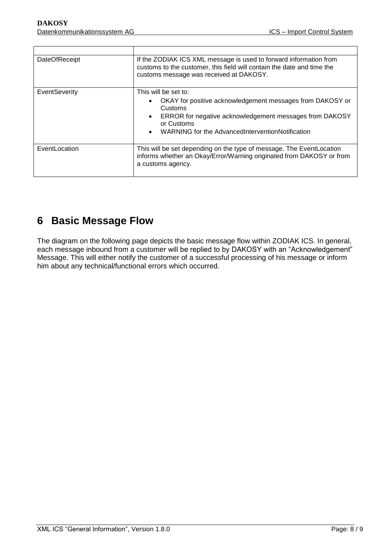| <b>DateOfReceipt</b> | If the ZODIAK ICS XML message is used to forward information from<br>customs to the customer, this field will contain the date and time the<br>customs message was received at DAKOSY.                                    |
|----------------------|---------------------------------------------------------------------------------------------------------------------------------------------------------------------------------------------------------------------------|
| EventSeverity        | This will be set to:<br>OKAY for positive acknowledgement messages from DAKOSY or<br>Customs<br>ERROR for negative acknowledgement messages from DAKOSY<br>or Customs<br>WARNING for the AdvancedInterventionNotification |
| EventLocation        | This will be set depending on the type of message. The EventLocation<br>informs whether an Okay/Error/Warning originated from DAKOSY or from<br>a customs agency.                                                         |

# <span id="page-7-0"></span>**6 Basic Message Flow**

The diagram on the following page depicts the basic message flow within ZODIAK ICS. In general, each message inbound from a customer will be replied to by DAKOSY with an "Acknowledgement" Message. This will either notify the customer of a successful processing of his message or inform him about any technical/functional errors which occurred.